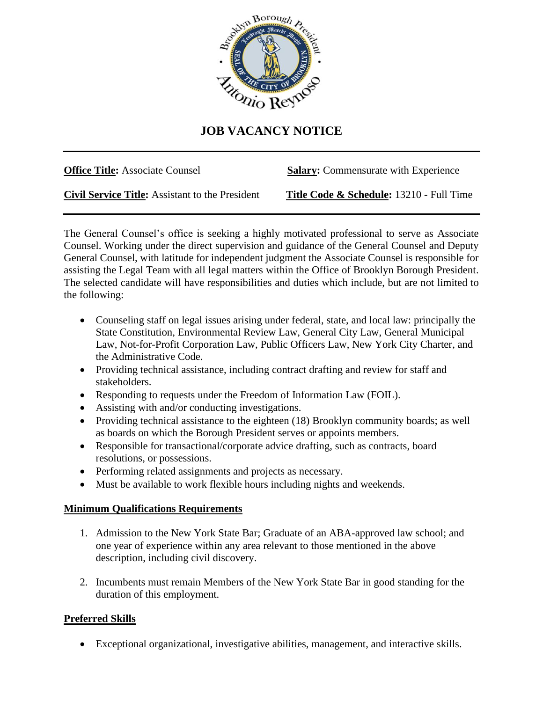

## **JOB VACANCY NOTICE**

**Office Title:** Associate Counsel **Salary:** Commensurate with Experience

**Civil Service Title:** Assistant to the President **Title Code & Schedule:** 13210 - Full Time

The General Counsel's office is seeking a highly motivated professional to serve as Associate Counsel. Working under the direct supervision and guidance of the General Counsel and Deputy General Counsel, with latitude for independent judgment the Associate Counsel is responsible for assisting the Legal Team with all legal matters within the Office of Brooklyn Borough President. The selected candidate will have responsibilities and duties which include, but are not limited to the following:

- Counseling staff on legal issues arising under federal, state, and local law: principally the State Constitution, Environmental Review Law, General City Law, General Municipal Law, Not-for-Profit Corporation Law, Public Officers Law, New York City Charter, and the Administrative Code.
- Providing technical assistance, including contract drafting and review for staff and stakeholders.
- Responding to requests under the Freedom of Information Law (FOIL).
- Assisting with and/or conducting investigations.
- Providing technical assistance to the eighteen (18) Brooklyn community boards; as well as boards on which the Borough President serves or appoints members.
- Responsible for transactional/corporate advice drafting, such as contracts, board resolutions, or possessions.
- Performing related assignments and projects as necessary.
- Must be available to work flexible hours including nights and weekends.

## **Minimum Qualifications Requirements**

- 1. Admission to the New York State Bar; Graduate of an ABA-approved law school; and one year of experience within any area relevant to those mentioned in the above description, including civil discovery.
- 2. Incumbents must remain Members of the New York State Bar in good standing for the duration of this employment.

## **Preferred Skills**

• Exceptional organizational, investigative abilities, management, and interactive skills.